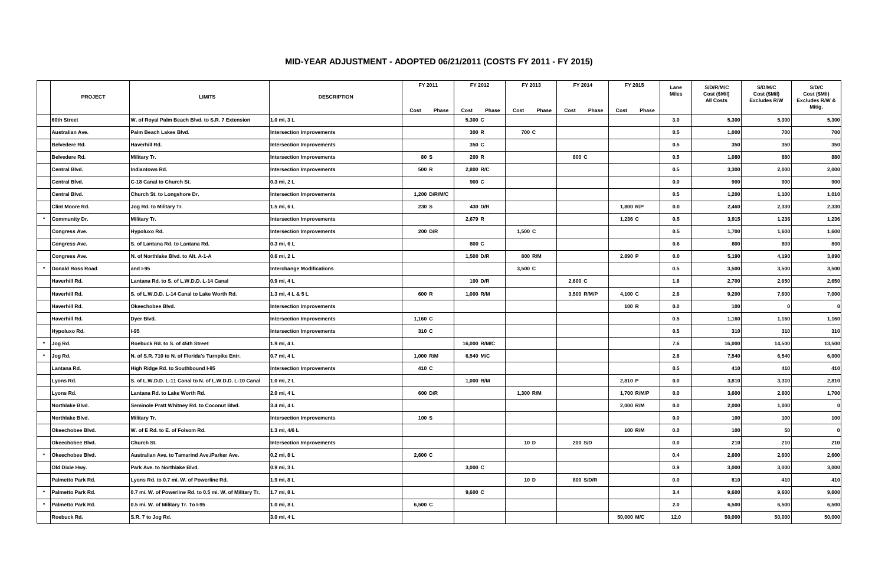|         | <b>PROJECT</b>         | <b>LIMITS</b>                                             | <b>DESCRIPTION</b>               | FY 2011       |       | FY 2012         |              | FY 2013   |       |         | FY 2014     | FY 2015     |       | Lane<br><b>Miles</b> | S/D/R/M/C<br>Cost (\$Mil)<br><b>All Costs</b> | S/D/M/C<br>Cost (\$Mil)<br><b>Excludes R/W</b> | S/D/C<br>Cost (\$Mil)<br>Excludes R/W &<br>Mitig. |
|---------|------------------------|-----------------------------------------------------------|----------------------------------|---------------|-------|-----------------|--------------|-----------|-------|---------|-------------|-------------|-------|----------------------|-----------------------------------------------|------------------------------------------------|---------------------------------------------------|
|         | 60th Street            | W. of Royal Palm Beach Blvd. to S.R. 7 Extension          | 1.0 mi, 3 L                      | Cost          | Phase | Cost<br>5,300 C | <b>Phase</b> | Cost      | Phase | Cost    | Phase       | Cost        | Phase | 3.0                  | 5,300                                         | 5,300                                          | 5,300                                             |
|         | Australian Ave.        | Palm Beach Lakes Blvd.                                    | <b>Intersection Improvements</b> |               |       | 300 R           |              | 700 C     |       |         |             |             |       | 0.5                  | 1,000                                         | 700                                            | 700                                               |
|         | Belvedere Rd.          | Haverhill Rd.                                             | <b>Intersection Improvements</b> |               |       | 350 C           |              |           |       |         |             |             |       | 0.5                  | 350                                           | 350                                            | 350                                               |
|         | Belvedere Rd.          | <b>Military Tr.</b>                                       | <b>Intersection Improvements</b> | 80 S          |       | 200 R           |              |           |       | 800 C   |             |             |       | 0.5                  | 1,080                                         | 880                                            | 880                                               |
|         | Central Blvd.          | Indiantown Rd.                                            | <b>Intersection Improvements</b> | 500 R         |       | 2,800 R/C       |              |           |       |         |             |             |       | 0.5                  | 3,300                                         | 2,000                                          | 2,000                                             |
|         | Central Blvd.          | C-18 Canal to Church St.                                  | 0.3 mi, 2 L                      |               |       | 900 C           |              |           |       |         |             |             |       | 0.0                  | 900                                           | 900                                            | 900                                               |
|         | <b>Central Blvd.</b>   | Church St. to Longshore Dr.                               | <b>Intersection Improvements</b> | 1,200 D/R/M/C |       |                 |              |           |       |         |             |             |       | 0.5                  | 1,200                                         | 1,100                                          | 1,010                                             |
|         | <b>Clint Moore Rd.</b> | Jog Rd. to Military Tr.                                   | 1.5 mi, 6 L                      | 230 S         |       | 430 D/R         |              |           |       |         |             | 1,800 R/P   |       | 0.0                  | 2,460                                         | 2,330                                          | 2,330                                             |
|         | <b>Community Dr.</b>   | <b>Military Tr.</b>                                       | <b>Intersection Improvements</b> |               |       | 2,679 R         |              |           |       |         |             | 1,236 C     |       | 0.5                  | 3,915                                         | 1,236                                          | 1,236                                             |
|         | <b>Congress Ave.</b>   | Hypoluxo Rd.                                              | <b>Intersection Improvements</b> | 200 D/R       |       |                 |              | 1,500 C   |       |         |             |             |       | 0.5                  | 1,700                                         | 1,600                                          | 1,600                                             |
|         | <b>Congress Ave.</b>   | S. of Lantana Rd. to Lantana Rd.                          | 0.3 mi, 6 L                      |               |       | 800 C           |              |           |       |         |             |             |       | 0.6                  | 800                                           | 800                                            | 800                                               |
|         | <b>Congress Ave.</b>   | N. of Northlake Blvd. to Alt. A-1-A                       | 0.6 mi, 2 L                      |               |       | 1,500 D/R       |              | 800 R/M   |       |         |             | 2,890 P     |       | 0.0                  | 5,190                                         | 4,190                                          | 3,890                                             |
|         | Donald Ross Road       | and I-95                                                  | <b>Interchange Modifications</b> |               |       |                 |              | 3,500 C   |       |         |             |             |       | 0.5                  | 3,500                                         | 3,500                                          | 3,500                                             |
|         | Haverhill Rd.          | Lantana Rd. to S. of L.W.D.D. L-14 Canal                  | 0.9 mi, 4 L                      |               |       | 100 D/R         |              |           |       | 2,600 C |             |             |       | 1.8                  | 2,700                                         | 2,650                                          | 2,650                                             |
|         | Haverhill Rd.          | S. of L.W.D.D. L-14 Canal to Lake Worth Rd.               | 1.3 mi, 4 L & 5 L                | 600 R         |       | 1,000 R/M       |              |           |       |         | 3,500 R/M/P | 4,100 C     |       | 2.6                  | 9,200                                         | 7,600                                          | 7,000                                             |
|         | Haverhill Rd.          | Okeechobee Blvd.                                          | <b>Intersection Improvements</b> |               |       |                 |              |           |       |         |             | 100 R       |       | 0.0                  | 100                                           |                                                | $\mathbf{0}$                                      |
|         | Haverhill Rd.          | Dyer Blvd.                                                | <b>Intersection Improvements</b> | 1,160 $C$     |       |                 |              |           |       |         |             |             |       | 0.5                  | 1,160                                         | 1,160                                          | 1,160                                             |
|         | Hypoluxo Rd.           | $I-95$                                                    | <b>Intersection Improvements</b> | 310 C         |       |                 |              |           |       |         |             |             |       | 0.5                  | 310                                           | 310                                            | 310                                               |
|         | Jog Rd.                | Roebuck Rd. to S. of 45th Street                          | 1.9 mi, 4 L                      |               |       | 16,000 R/M/C    |              |           |       |         |             |             |       | 7.6                  | 16,000                                        | 14,500                                         | 13,500                                            |
| $\star$ | Jog Rd.                | N. of S.R. 710 to N. of Florida's Turnpike Entr.          | 0.7 mi, 4 L                      | 1,000 R/M     |       | 6,540 M/C       |              |           |       |         |             |             |       | 2.8                  | 7,540                                         | 6,540                                          | 6,000                                             |
|         | Lantana Rd.            | High Ridge Rd. to Southbound I-95                         | <b>Intersection Improvements</b> | 410 C         |       |                 |              |           |       |         |             |             |       | 0.5                  | 410                                           | 410                                            | 410                                               |
|         | Lyons Rd.              | S. of L.W.D.D. L-11 Canal to N. of L.W.D.D. L-10 Canal    | 1.0 mi, 2 L                      |               |       | 1,000 R/M       |              |           |       |         |             | 2,810 P     |       | 0.0                  | 3,810                                         | 3,310                                          | 2,810                                             |
|         | Lyons Rd.              | Lantana Rd. to Lake Worth Rd.                             | 2.0 mi, 4 L                      | 600 D/R       |       |                 |              | 1,300 R/M |       |         |             | 1,700 R/M/P |       | 0.0                  | 3,600                                         | 2,600                                          | 1,700                                             |
|         | Northlake Blvd.        | Seminole Pratt Whitney Rd. to Coconut Blvd.               | 3.4 mi, 4 L                      |               |       |                 |              |           |       |         |             | 2,000 R/M   |       | 0.0                  | 2,000                                         | 1,000                                          | 0                                                 |
|         | Northlake Blvd.        | <b>Military Tr.</b>                                       | <b>Intersection Improvements</b> | 100S          |       |                 |              |           |       |         |             |             |       | 0.0                  | 100                                           | 100                                            | 100                                               |
|         | Okeechobee Blvd.       | W. of E Rd. to E. of Folsom Rd.                           | 1.3 mi, 4/6 L                    |               |       |                 |              |           |       |         |             | 100 R/M     |       | 0.0                  | 100                                           | 50                                             | $\mathbf{0}$                                      |
|         | Okeechobee Blvd.       | Church St.                                                | <b>Intersection Improvements</b> |               |       |                 |              | 10D       |       |         | 200 S/D     |             |       | 0.0                  | 210                                           | 210                                            | 210                                               |
|         | Okeechobee Blvd.       | Australian Ave. to Tamarind Ave./Parker Ave.              | 0.2 mi, 8 L                      | 2,600 C       |       |                 |              |           |       |         |             |             |       | 0.4                  | 2,600                                         | 2,600                                          | 2,600                                             |
|         | Old Dixie Hwy.         | Park Ave. to Northlake Blvd.                              | 0.9 mi, 3 L                      |               |       | $3,000$ $C$     |              |           |       |         |             |             |       | 0.9                  | 3,000                                         | 3,000                                          | 3,000                                             |
|         | Palmetto Park Rd.      | Lyons Rd. to 0.7 mi. W. of Powerline Rd.                  | 1.9 mi, 8 L                      |               |       |                 |              | 10D       |       |         | 800 S/D/R   |             |       | 0.0                  | 810                                           | 410                                            | 410                                               |
|         | Palmetto Park Rd.      | 0.7 mi. W. of Powerline Rd. to 0.5 mi. W. of Military Tr. | 1.7 mi, 8 L                      |               |       | 9,600 C         |              |           |       |         |             |             |       | 3.4                  | 9,600                                         | 9,600                                          | 9,600                                             |
|         | Palmetto Park Rd.      | 0.5 mi. W. of Military Tr. To I-95                        | 1.0 mi, 8 L                      | 6,500 C       |       |                 |              |           |       |         |             |             |       | 2.0                  | 6,500                                         | 6,500                                          | 6,500                                             |
|         | Roebuck Rd.            | S.R. 7 to Jog Rd.                                         | 3.0 mi, 4 L                      |               |       |                 |              |           |       |         |             | 50,000 M/C  |       | 12.0                 | 50,000                                        | 50,000                                         | 50,000                                            |

## **MID-YEAR ADJUSTMENT - ADOPTED 06/21/2011 (COSTS FY 2011 - FY 2015)**